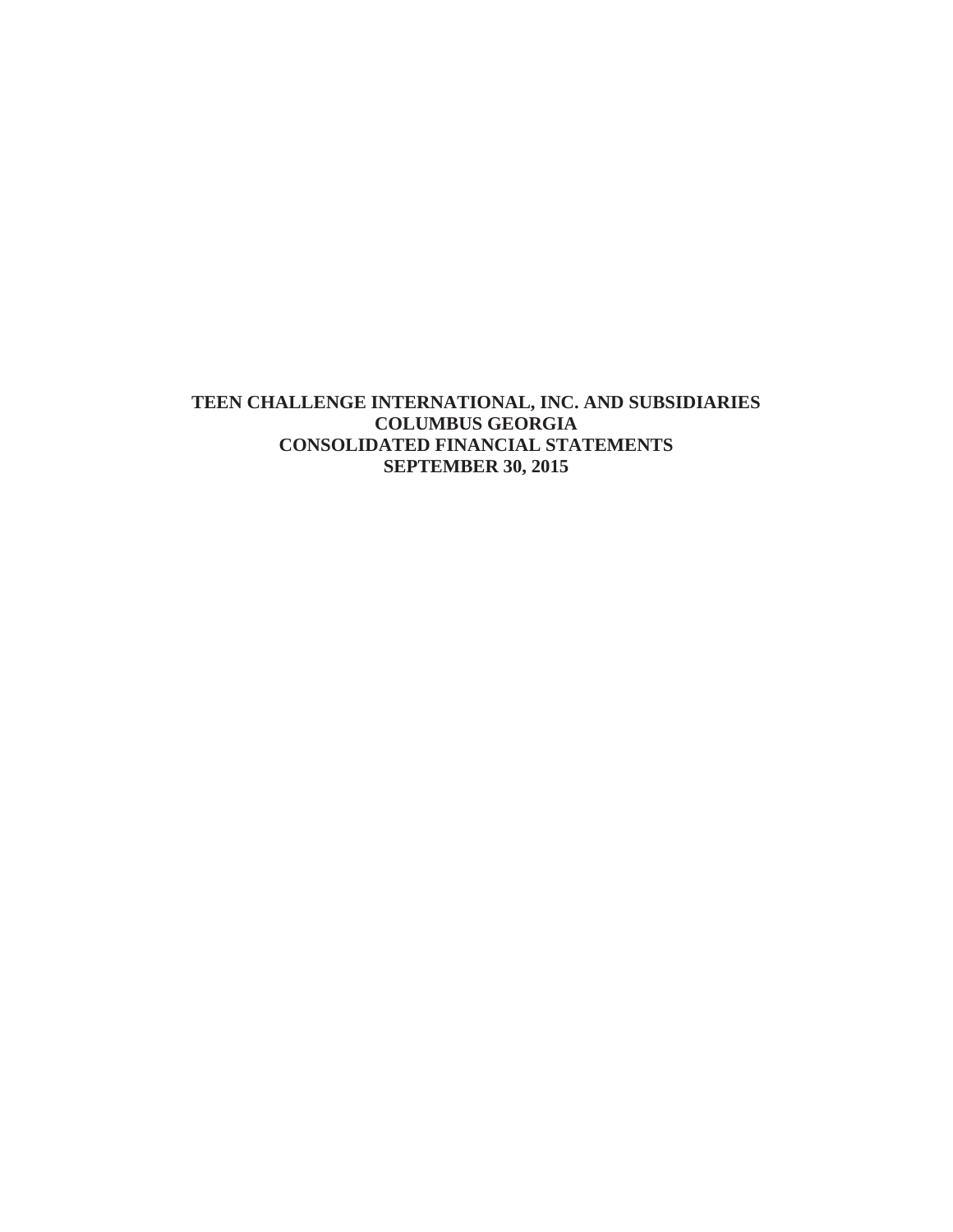## **TEEN CHALLENGE INTERNATIONAL, INC. AND SUBSIDIARIES COLUMBUS GEORGIA CONSOLIDATED FINANCIAL STATEMENTS SEPTEMBER 30, 2015**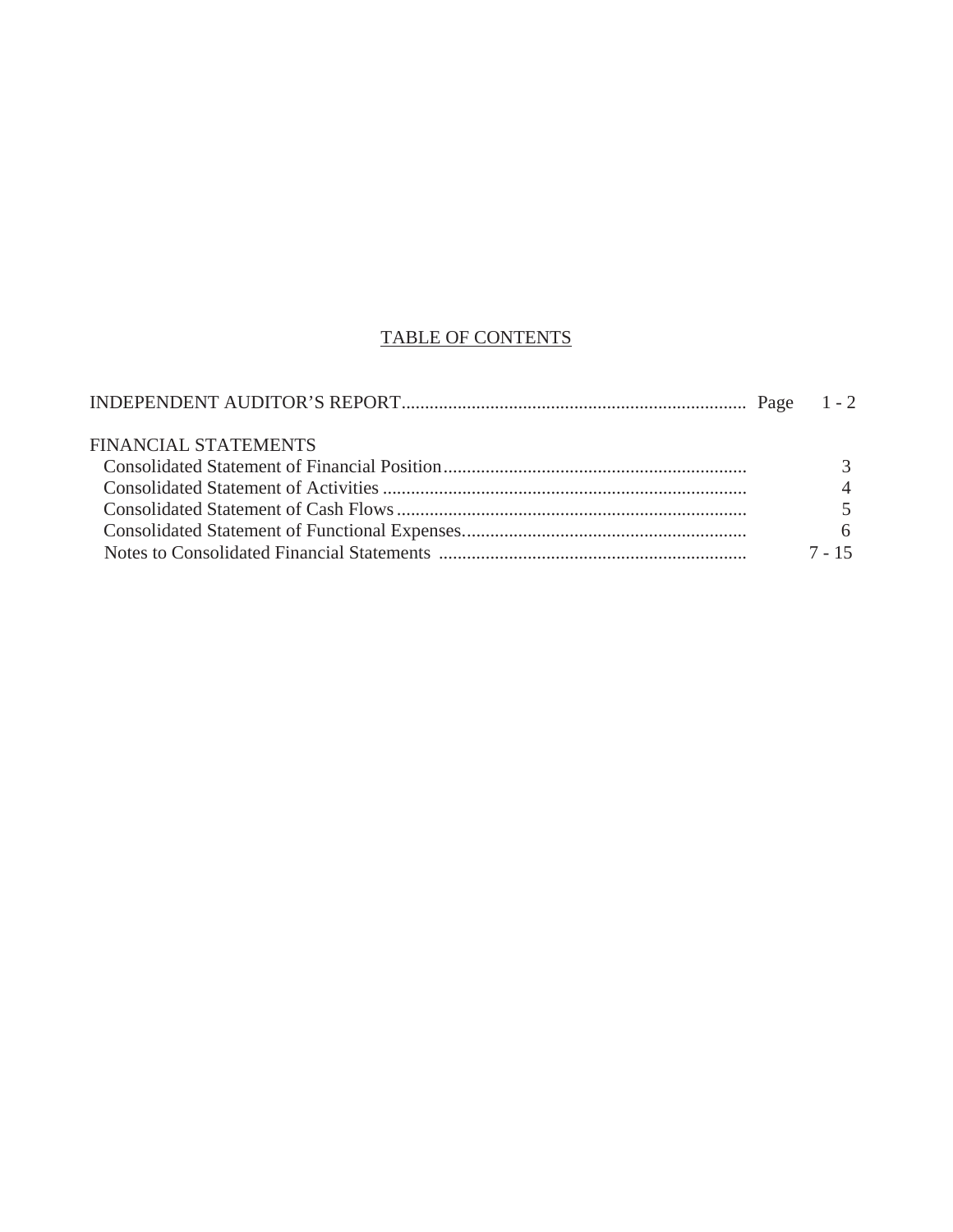# TABLE OF CONTENTS

| <b>FINANCIAL STATEMENTS</b> |          |
|-----------------------------|----------|
|                             |          |
|                             |          |
|                             |          |
|                             | 6        |
|                             | $7 - 15$ |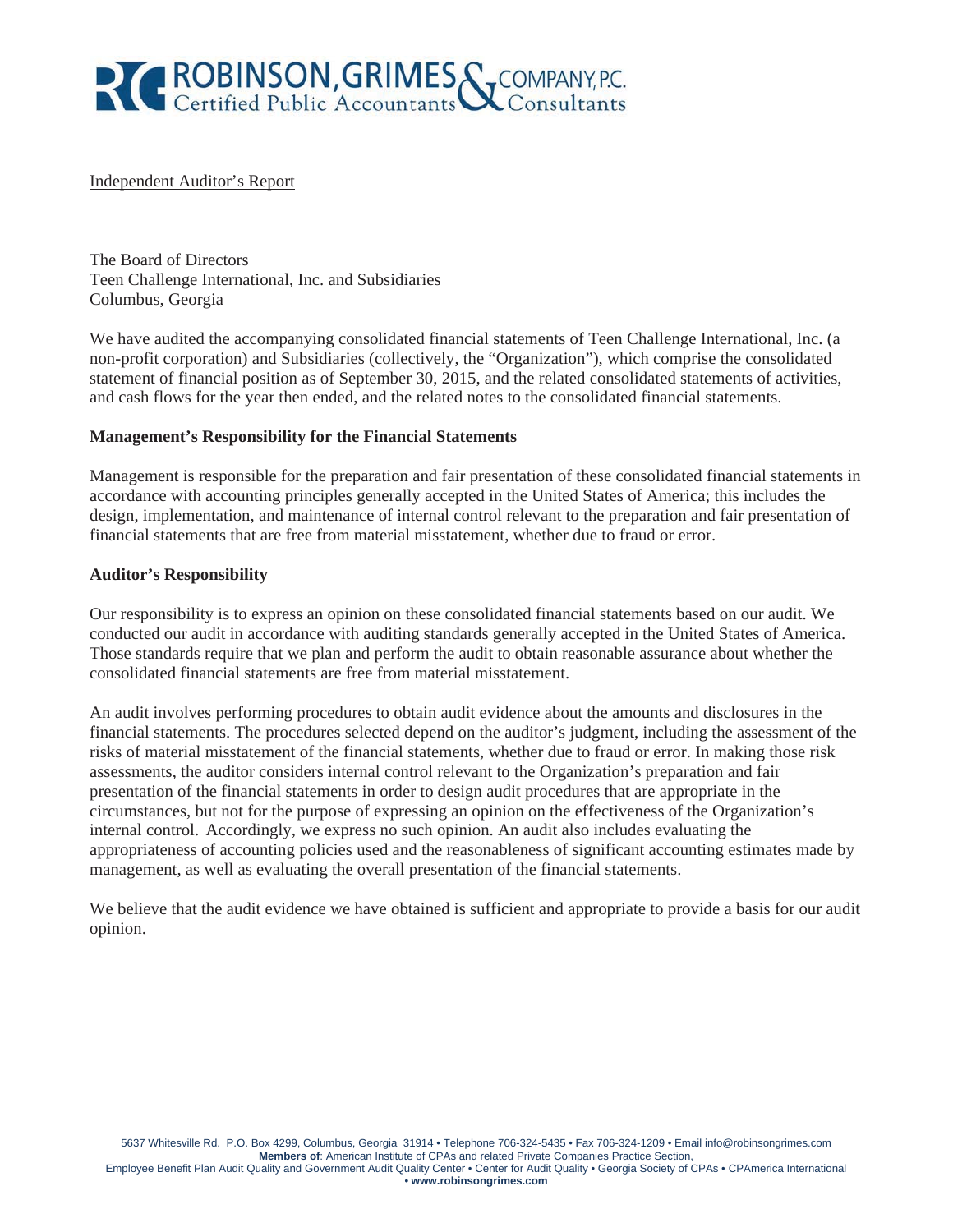

#### Independent Auditor's Report

The Board of Directors Teen Challenge International, Inc. and Subsidiaries Columbus, Georgia

We have audited the accompanying consolidated financial statements of Teen Challenge International, Inc. (a non-profit corporation) and Subsidiaries (collectively, the "Organization"), which comprise the consolidated statement of financial position as of September 30, 2015, and the related consolidated statements of activities, and cash flows for the year then ended, and the related notes to the consolidated financial statements.

#### **Management's Responsibility for the Financial Statements**

Management is responsible for the preparation and fair presentation of these consolidated financial statements in accordance with accounting principles generally accepted in the United States of America; this includes the design, implementation, and maintenance of internal control relevant to the preparation and fair presentation of financial statements that are free from material misstatement, whether due to fraud or error.

#### **Auditor's Responsibility**

Our responsibility is to express an opinion on these consolidated financial statements based on our audit. We conducted our audit in accordance with auditing standards generally accepted in the United States of America. Those standards require that we plan and perform the audit to obtain reasonable assurance about whether the consolidated financial statements are free from material misstatement.

An audit involves performing procedures to obtain audit evidence about the amounts and disclosures in the financial statements. The procedures selected depend on the auditor's judgment, including the assessment of the risks of material misstatement of the financial statements, whether due to fraud or error. In making those risk assessments, the auditor considers internal control relevant to the Organization's preparation and fair presentation of the financial statements in order to design audit procedures that are appropriate in the circumstances, but not for the purpose of expressing an opinion on the effectiveness of the Organization's internal control. Accordingly, we express no such opinion. An audit also includes evaluating the appropriateness of accounting policies used and the reasonableness of significant accounting estimates made by management, as well as evaluating the overall presentation of the financial statements.

We believe that the audit evidence we have obtained is sufficient and appropriate to provide a basis for our audit opinion.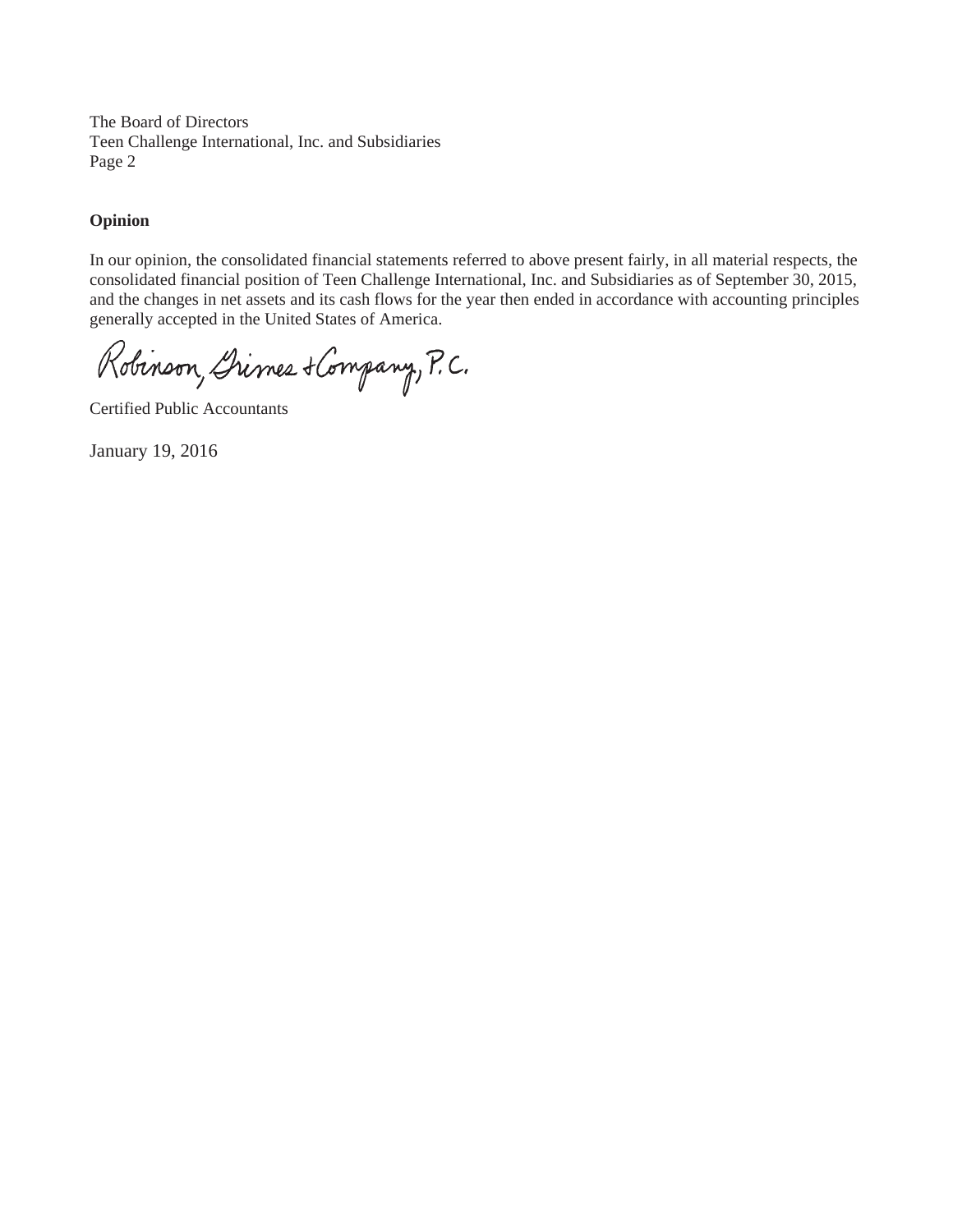The Board of Directors Teen Challenge International, Inc. and Subsidiaries Page 2

#### **Opinion**

In our opinion, the consolidated financial statements referred to above present fairly, in all material respects, the consolidated financial position of Teen Challenge International, Inc. and Subsidiaries as of September 30, 2015, and the changes in net assets and its cash flows for the year then ended in accordance with accounting principles generally accepted in the United States of America.

Robinson, Drimes & Company, P.C.

Certified Public Accountants

January 19, 2016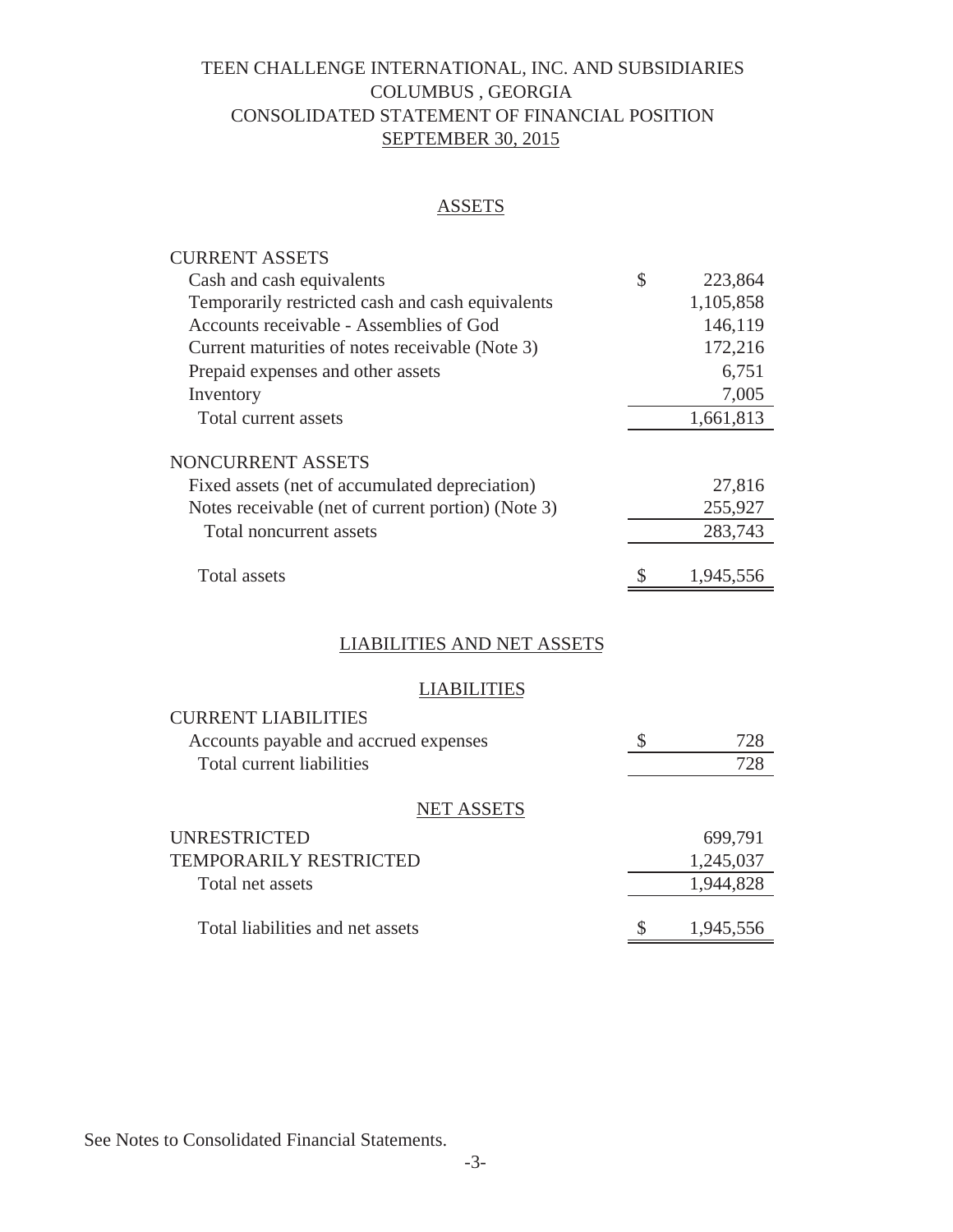## TEEN CHALLENGE INTERNATIONAL, INC. AND SUBSIDIARIES COLUMBUS , GEORGIA CONSOLIDATED STATEMENT OF FINANCIAL POSITION SEPTEMBER 30, 2015

## **ASSETS**

| <b>CURRENT ASSETS</b>                              |               |
|----------------------------------------------------|---------------|
| Cash and cash equivalents                          | \$<br>223,864 |
| Temporarily restricted cash and cash equivalents   | 1,105,858     |
| Accounts receivable - Assemblies of God            | 146,119       |
| Current maturities of notes receivable (Note 3)    | 172,216       |
| Prepaid expenses and other assets                  | 6,751         |
| Inventory                                          | 7,005         |
| Total current assets                               | 1,661,813     |
| NONCURRENT ASSETS                                  |               |
| Fixed assets (net of accumulated depreciation)     | 27,816        |
| Notes receivable (net of current portion) (Note 3) | 255,927       |
| Total noncurrent assets                            | 283,743       |
| Total assets                                       | 1,945,556     |

## LIABILITIES AND NET ASSETS

### **LIABILITIES**

| <b>CURRENT LIABILITIES</b>            |   |           |
|---------------------------------------|---|-----------|
| Accounts payable and accrued expenses | S | 728       |
| Total current liabilities             |   | 728       |
| <b>NET ASSETS</b>                     |   |           |
| <b>UNRESTRICTED</b>                   |   | 699,791   |
| <b>TEMPORARILY RESTRICTED</b>         |   | 1,245,037 |
| Total net assets                      |   | 1,944,828 |
| Total liabilities and net assets      |   | 1,945,556 |

See Notes to Consolidated Financial Statements.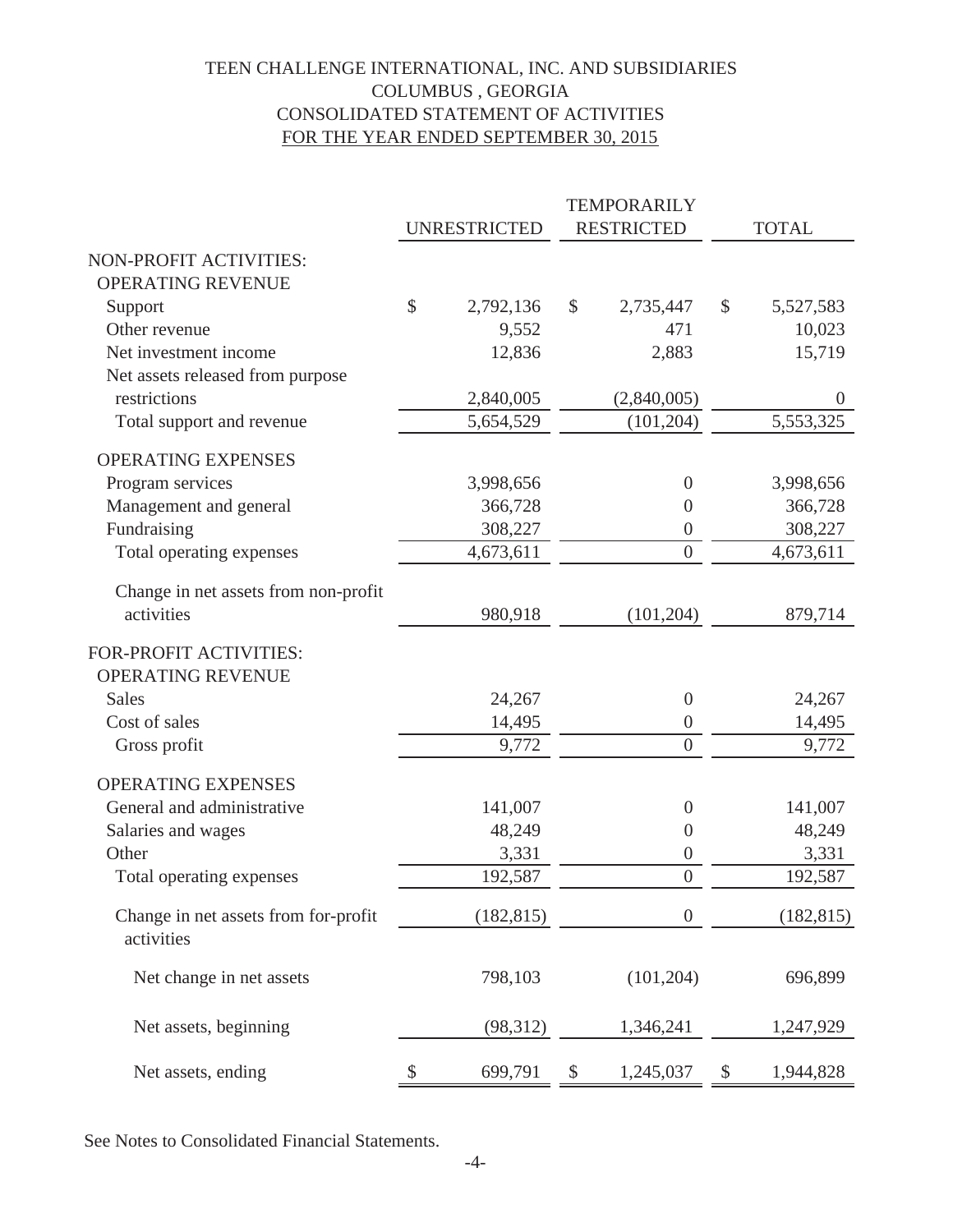## TEEN CHALLENGE INTERNATIONAL, INC. AND SUBSIDIARIES COLUMBUS , GEORGIA CONSOLIDATED STATEMENT OF ACTIVITIES FOR THE YEAR ENDED SEPTEMBER 30, 2015

|                                                           |               |                     |               | <b>TEMPORARILY</b> |       |                |
|-----------------------------------------------------------|---------------|---------------------|---------------|--------------------|-------|----------------|
|                                                           |               | <b>UNRESTRICTED</b> |               | <b>RESTRICTED</b>  |       | <b>TOTAL</b>   |
| NON-PROFIT ACTIVITIES:                                    |               |                     |               |                    |       |                |
| <b>OPERATING REVENUE</b>                                  |               |                     |               |                    |       |                |
| Support                                                   | $\mathcal{S}$ | 2,792,136           | $\mathcal{S}$ | 2,735,447          | $\$\$ | 5,527,583      |
| Other revenue                                             |               | 9,552               |               | 471                |       | 10,023         |
| Net investment income                                     |               | 12,836              |               | 2,883              |       | 15,719         |
| Net assets released from purpose                          |               |                     |               |                    |       |                |
| restrictions                                              |               | 2,840,005           |               | (2,840,005)        |       | $\overline{0}$ |
| Total support and revenue                                 |               | 5,654,529           |               | (101, 204)         |       | 5,553,325      |
| <b>OPERATING EXPENSES</b>                                 |               |                     |               |                    |       |                |
| Program services                                          |               | 3,998,656           |               | $\theta$           |       | 3,998,656      |
| Management and general                                    |               | 366,728             |               | $\boldsymbol{0}$   |       | 366,728        |
| Fundraising                                               |               | 308,227             |               | $\boldsymbol{0}$   |       | 308,227        |
| Total operating expenses                                  |               | 4,673,611           |               | $\overline{0}$     |       | 4,673,611      |
| Change in net assets from non-profit                      |               |                     |               |                    |       |                |
| activities                                                |               | 980,918             |               | (101, 204)         |       | 879,714        |
| <b>FOR-PROFIT ACTIVITIES:</b><br><b>OPERATING REVENUE</b> |               |                     |               |                    |       |                |
| <b>Sales</b>                                              |               | 24,267              |               | $\boldsymbol{0}$   |       | 24,267         |
| Cost of sales                                             |               | 14,495              |               | $\boldsymbol{0}$   |       | 14,495         |
| Gross profit                                              |               | 9,772               |               | $\overline{0}$     |       | 9,772          |
| <b>OPERATING EXPENSES</b>                                 |               |                     |               |                    |       |                |
| General and administrative                                |               | 141,007             |               | $\boldsymbol{0}$   |       | 141,007        |
| Salaries and wages                                        |               | 48,249              |               | $\boldsymbol{0}$   |       | 48,249         |
| Other                                                     |               | 3,331               |               | $\boldsymbol{0}$   |       | 3,331          |
| Total operating expenses                                  |               | 192,587             |               | $\overline{0}$     |       | 192,587        |
| Change in net assets from for-profit<br>activities        |               | (182, 815)          |               | $\boldsymbol{0}$   |       | (182, 815)     |
| Net change in net assets                                  |               | 798,103             |               | (101, 204)         |       | 696,899        |
| Net assets, beginning                                     |               | (98, 312)           |               | 1,346,241          |       | 1,247,929      |
| Net assets, ending                                        | \$            | 699,791             | \$            | 1,245,037          | \$    | 1,944,828      |

See Notes to Consolidated Financial Statements.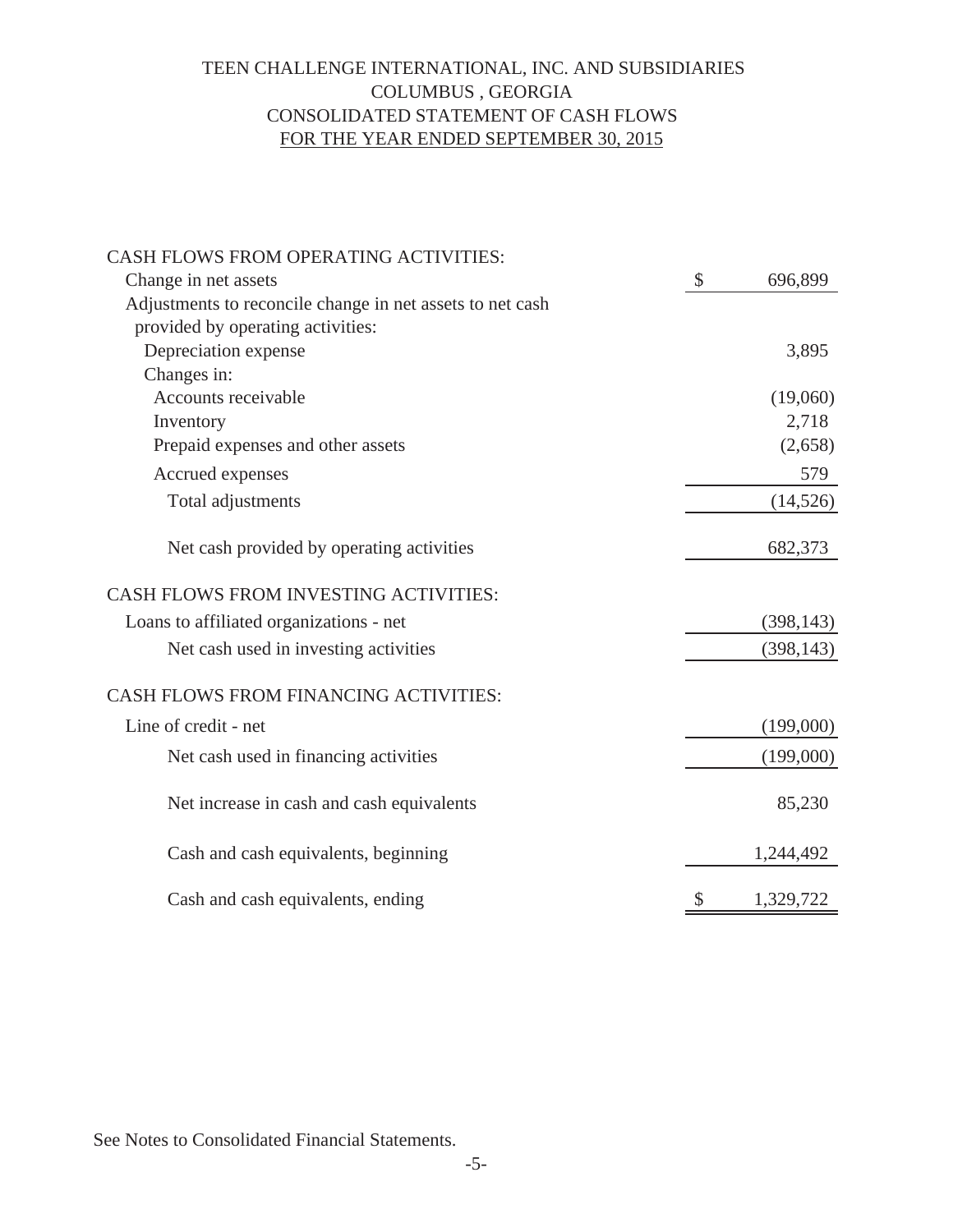## TEEN CHALLENGE INTERNATIONAL, INC. AND SUBSIDIARIES COLUMBUS , GEORGIA CONSOLIDATED STATEMENT OF CASH FLOWS FOR THE YEAR ENDED SEPTEMBER 30, 2015

| CASH FLOWS FROM OPERATING ACTIVITIES:                     |                           |            |
|-----------------------------------------------------------|---------------------------|------------|
| Change in net assets                                      | $\boldsymbol{\mathsf{S}}$ | 696,899    |
| Adjustments to reconcile change in net assets to net cash |                           |            |
| provided by operating activities:                         |                           |            |
| Depreciation expense                                      |                           | 3,895      |
| Changes in:                                               |                           |            |
| Accounts receivable                                       |                           | (19,060)   |
| Inventory                                                 |                           | 2,718      |
| Prepaid expenses and other assets                         |                           | (2,658)    |
| Accrued expenses                                          |                           | 579        |
| Total adjustments                                         |                           | (14, 526)  |
| Net cash provided by operating activities                 |                           | 682,373    |
| <b>CASH FLOWS FROM INVESTING ACTIVITIES:</b>              |                           |            |
| Loans to affiliated organizations - net                   |                           | (398, 143) |
| Net cash used in investing activities                     |                           | (398, 143) |
| CASH FLOWS FROM FINANCING ACTIVITIES:                     |                           |            |
| Line of credit - net                                      |                           | (199,000)  |
| Net cash used in financing activities                     |                           | (199,000)  |
| Net increase in cash and cash equivalents                 |                           | 85,230     |
| Cash and cash equivalents, beginning                      |                           | 1,244,492  |
| Cash and cash equivalents, ending                         | \$                        | 1,329,722  |

See Notes to Consolidated Financial Statements.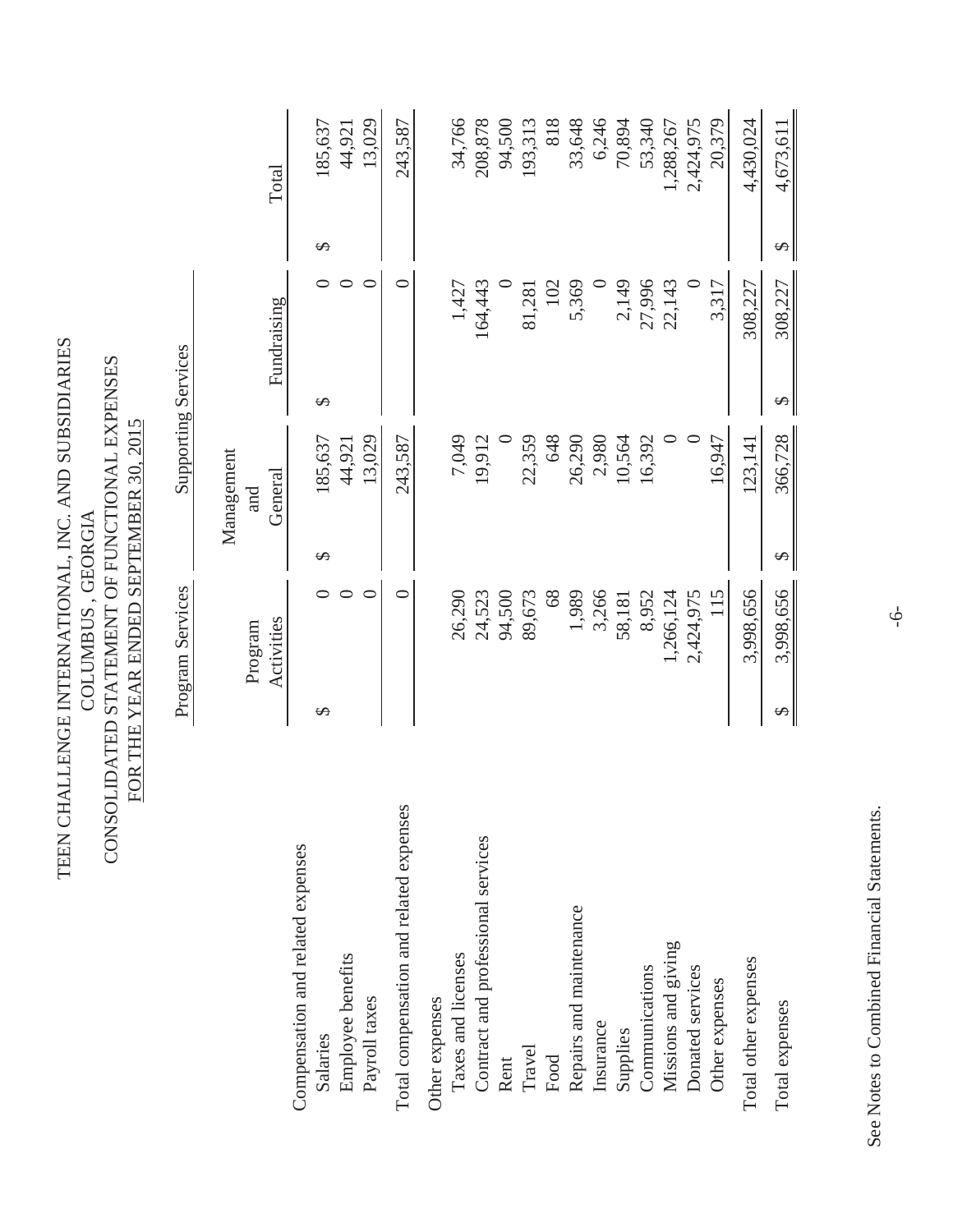| CONSOLIDATED<br>TEEN CH                       | ALLENGE INTERNATIONAL, INC. AND SUBSIDIARIES<br>FOR THE YEAR ENDED SEPTEMBER 30, 2015<br>COLUMBUS, GEORGIA | STATEMENT OF FUNCTIONAL EXPENSES |                            |           |                  |
|-----------------------------------------------|------------------------------------------------------------------------------------------------------------|----------------------------------|----------------------------|-----------|------------------|
|                                               | Program Services                                                                                           |                                  | <b>Supporting Services</b> |           |                  |
|                                               | Program                                                                                                    | Management<br>and                |                            |           |                  |
|                                               | Activities                                                                                                 | General                          | Fundraising                |           | Total            |
| Compensation and related expenses<br>Salaries | ↮                                                                                                          | 185,637<br>↮                     | ↮                          | ∽         | 185,637          |
| Employee benefits<br>Payroll taxes            | $\circ$<br>$\circ$                                                                                         | 13,029<br>44,921                 |                            | $\subset$ | 13,029<br>44,921 |
| Total compensation and related expenses       | ⊂                                                                                                          | 243,587                          |                            | ⊂         | 243,587          |
| Other expenses                                |                                                                                                            |                                  |                            |           |                  |
| Taxes and licenses                            | 26,290                                                                                                     | 7,049                            | 1,427                      |           | 34,766           |
| Contract and professional services            | 24,523                                                                                                     | 19,912                           | 164,443                    |           | 208,878          |
| Rent                                          | 94,500                                                                                                     | $\circ$                          |                            |           | 94,500           |
| Travel                                        | 89,673                                                                                                     | 22,359                           | 81,281                     |           | 193,313          |
| Food                                          | 68                                                                                                         | 648                              |                            | 102       | 818              |
| Repairs and maintenance                       | 1,989                                                                                                      | 26,290                           | 5,369                      |           | 33,648           |
| Insurance                                     | 3,266                                                                                                      | 2,980                            |                            | $\circ$   | 6,246            |
| Supplies                                      | 58,181                                                                                                     | 10,564                           | 2,149                      |           | 70,894           |
| Communications                                | 8,952                                                                                                      | 16,392                           | 27,996                     |           | 53,340           |
| Missions and giving                           | 1,266,124                                                                                                  | $\circ$                          | 22,143                     |           | 1,288,267        |
| Donated services                              | 2,424,975                                                                                                  | $\subset$                        |                            | $\circ$   | 2,424,975        |
| Other expenses                                | 115                                                                                                        | 16,947                           | 3,317                      |           | 20,379           |
| Total other expenses                          | 3,998,656                                                                                                  | 123,141                          | 308,227                    |           | 4,430,024        |
| Total expenses                                | 3,998,656<br>$\varphi$                                                                                     | 366,728<br>↮                     | 308,227<br>↮               | $\varphi$ | 4,673,611        |
|                                               |                                                                                                            |                                  |                            |           |                  |

See Notes to Combined Financial Statements. See Notes to Combined Financial Statements.

-6-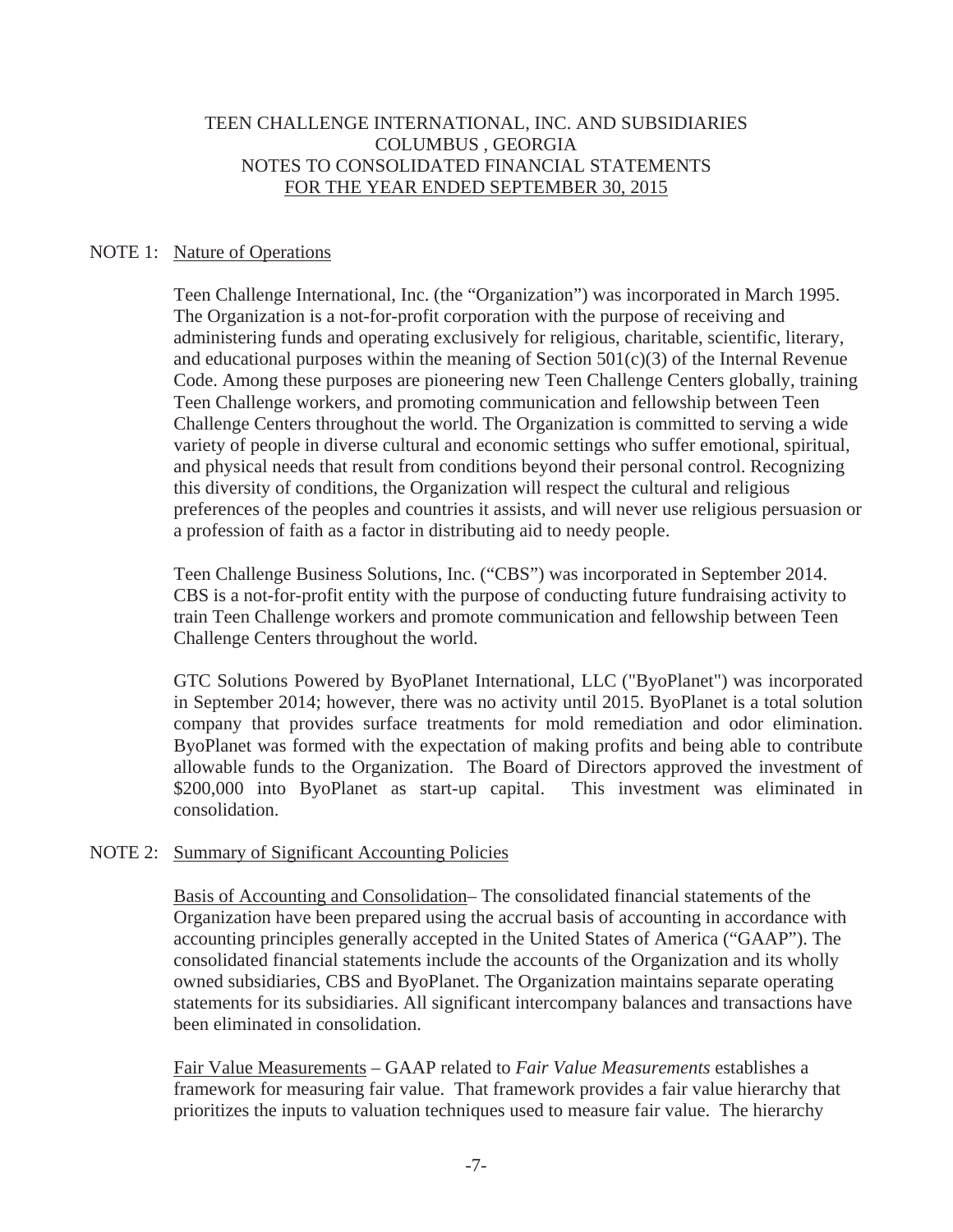#### NOTE 1: Nature of Operations

Teen Challenge International, Inc. (the "Organization") was incorporated in March 1995. The Organization is a not-for-profit corporation with the purpose of receiving and administering funds and operating exclusively for religious, charitable, scientific, literary, and educational purposes within the meaning of Section  $501(c)(3)$  of the Internal Revenue Code. Among these purposes are pioneering new Teen Challenge Centers globally, training Teen Challenge workers, and promoting communication and fellowship between Teen Challenge Centers throughout the world. The Organization is committed to serving a wide variety of people in diverse cultural and economic settings who suffer emotional, spiritual, and physical needs that result from conditions beyond their personal control. Recognizing this diversity of conditions, the Organization will respect the cultural and religious preferences of the peoples and countries it assists, and will never use religious persuasion or a profession of faith as a factor in distributing aid to needy people.

Teen Challenge Business Solutions, Inc. ("CBS") was incorporated in September 2014. CBS is a not-for-profit entity with the purpose of conducting future fundraising activity to train Teen Challenge workers and promote communication and fellowship between Teen Challenge Centers throughout the world.

GTC Solutions Powered by ByoPlanet International, LLC ("ByoPlanet") was incorporated in September 2014; however, there was no activity until 2015. ByoPlanet is a total solution company that provides surface treatments for mold remediation and odor elimination. ByoPlanet was formed with the expectation of making profits and being able to contribute allowable funds to the Organization. The Board of Directors approved the investment of \$200,000 into ByoPlanet as start-up capital. This investment was eliminated in consolidation.

#### NOTE 2: Summary of Significant Accounting Policies

Basis of Accounting and Consolidation- The consolidated financial statements of the Organization have been prepared using the accrual basis of accounting in accordance with accounting principles generally accepted in the United States of America ("GAAP"). The consolidated financial statements include the accounts of the Organization and its wholly owned subsidiaries, CBS and ByoPlanet. The Organization maintains separate operating statements for its subsidiaries. All significant intercompany balances and transactions have been eliminated in consolidation.

Fair Value Measurements – GAAP related to *Fair Value Measurements* establishes a framework for measuring fair value. That framework provides a fair value hierarchy that prioritizes the inputs to valuation techniques used to measure fair value. The hierarchy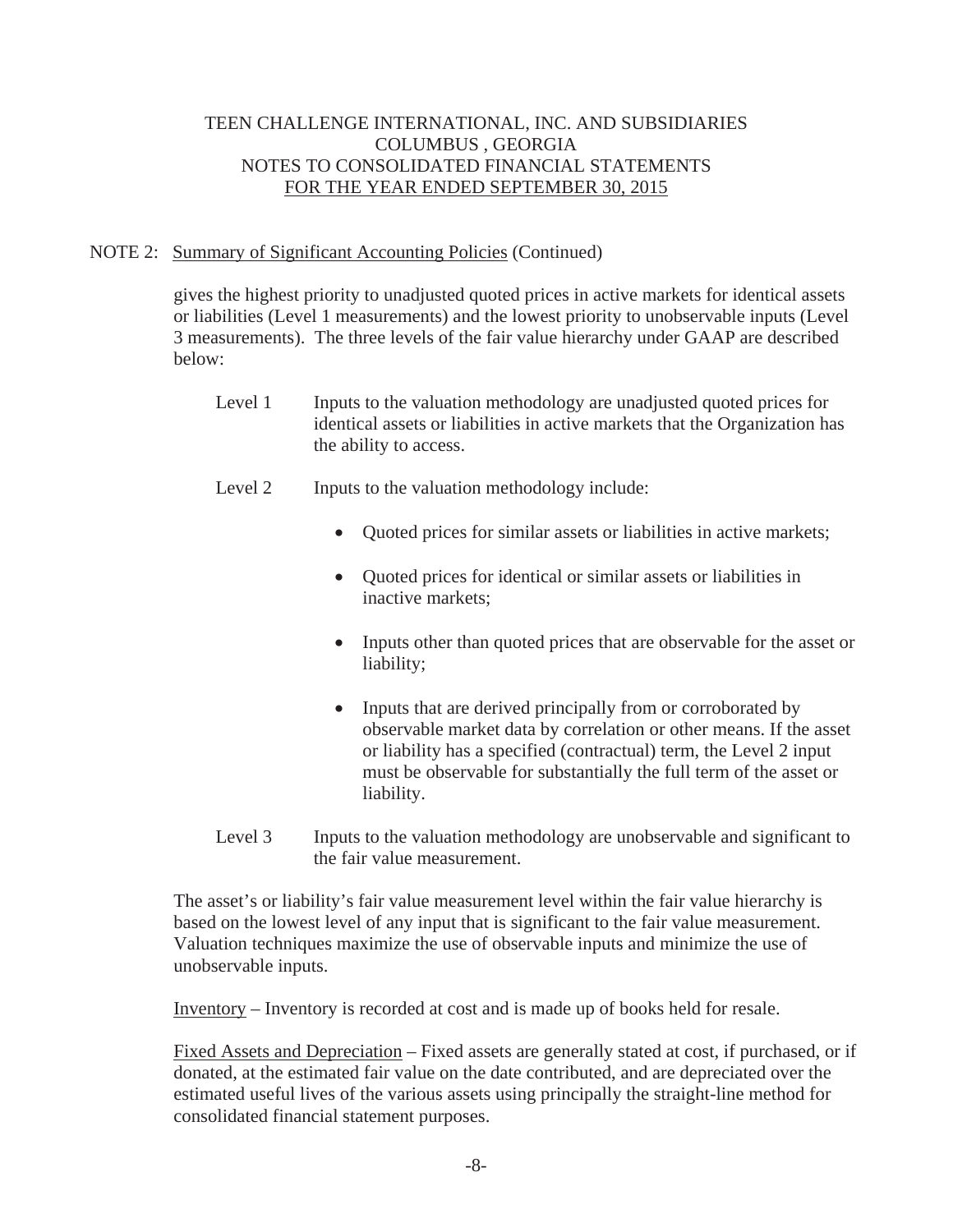### NOTE 2: Summary of Significant Accounting Policies (Continued)

 gives the highest priority to unadjusted quoted prices in active markets for identical assets or liabilities (Level 1 measurements) and the lowest priority to unobservable inputs (Level 3 measurements). The three levels of the fair value hierarchy under GAAP are described below:

- Level 1 Inputs to the valuation methodology are unadjusted quoted prices for identical assets or liabilities in active markets that the Organization has the ability to access.
- Level 2 Inputs to the valuation methodology include:
	- Quoted prices for similar assets or liabilities in active markets;
	- Ouoted prices for identical or similar assets or liabilities in inactive markets;
	- Inputs other than quoted prices that are observable for the asset or liability;
	- Inputs that are derived principally from or corroborated by observable market data by correlation or other means. If the asset or liability has a specified (contractual) term, the Level 2 input must be observable for substantially the full term of the asset or liability.
- Level 3 Inputs to the valuation methodology are unobservable and significant to the fair value measurement.

 The asset's or liability's fair value measurement level within the fair value hierarchy is based on the lowest level of any input that is significant to the fair value measurement. Valuation techniques maximize the use of observable inputs and minimize the use of unobservable inputs.

Inventory – Inventory is recorded at cost and is made up of books held for resale.

 Fixed Assets and Depreciation – Fixed assets are generally stated at cost, if purchased, or if donated, at the estimated fair value on the date contributed, and are depreciated over the estimated useful lives of the various assets using principally the straight-line method for consolidated financial statement purposes.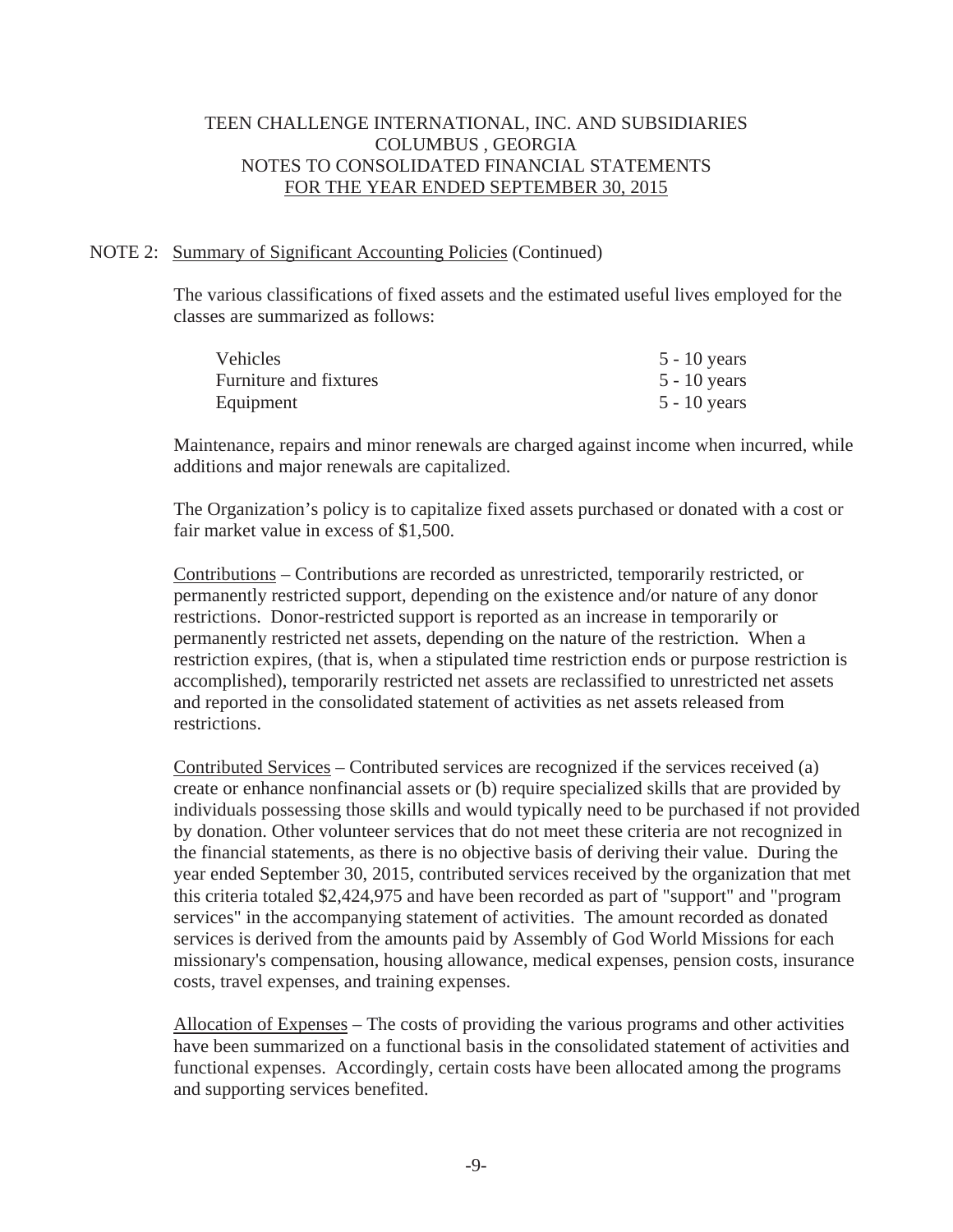#### NOTE 2: Summary of Significant Accounting Policies (Continued)

 The various classifications of fixed assets and the estimated useful lives employed for the classes are summarized as follows:

| <b>Vehicles</b>        | $5 - 10$ years |
|------------------------|----------------|
| Furniture and fixtures | $5 - 10$ years |
| Equipment              | $5 - 10$ years |

 Maintenance, repairs and minor renewals are charged against income when incurred, while additions and major renewals are capitalized.

 The Organization's policy is to capitalize fixed assets purchased or donated with a cost or fair market value in excess of \$1,500.

 Contributions – Contributions are recorded as unrestricted, temporarily restricted, or permanently restricted support, depending on the existence and/or nature of any donor restrictions. Donor-restricted support is reported as an increase in temporarily or permanently restricted net assets, depending on the nature of the restriction. When a restriction expires, (that is, when a stipulated time restriction ends or purpose restriction is accomplished), temporarily restricted net assets are reclassified to unrestricted net assets and reported in the consolidated statement of activities as net assets released from restrictions.

 Contributed Services – Contributed services are recognized if the services received (a) create or enhance nonfinancial assets or (b) require specialized skills that are provided by individuals possessing those skills and would typically need to be purchased if not provided by donation. Other volunteer services that do not meet these criteria are not recognized in the financial statements, as there is no objective basis of deriving their value. During the year ended September 30, 2015, contributed services received by the organization that met this criteria totaled \$2,424,975 and have been recorded as part of "support" and "program services" in the accompanying statement of activities. The amount recorded as donated services is derived from the amounts paid by Assembly of God World Missions for each missionary's compensation, housing allowance, medical expenses, pension costs, insurance costs, travel expenses, and training expenses.

 Allocation of Expenses – The costs of providing the various programs and other activities have been summarized on a functional basis in the consolidated statement of activities and functional expenses. Accordingly, certain costs have been allocated among the programs and supporting services benefited.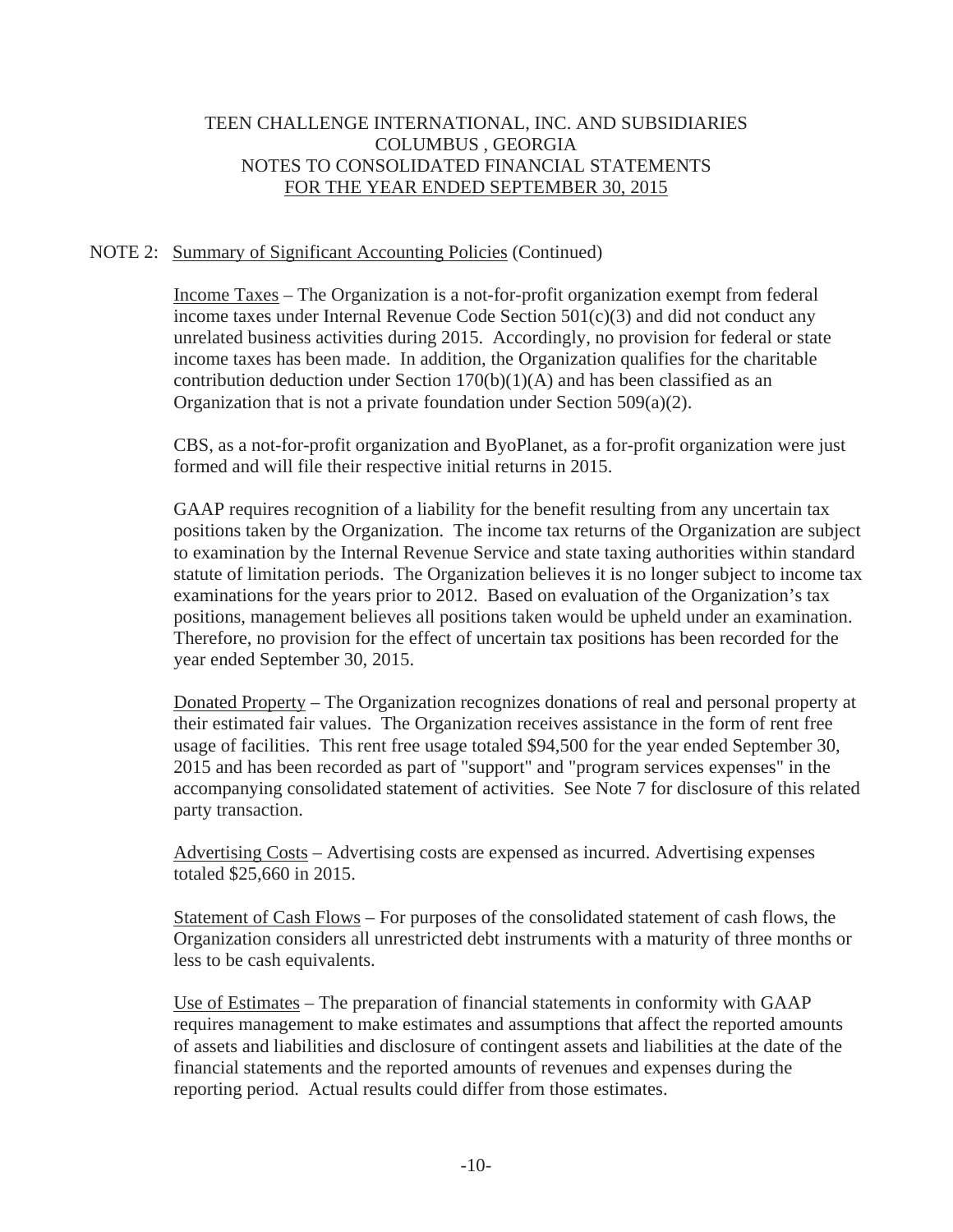### NOTE 2: Summary of Significant Accounting Policies (Continued)

 Income Taxes – The Organization is a not-for-profit organization exempt from federal income taxes under Internal Revenue Code Section  $501(c)(3)$  and did not conduct any unrelated business activities during 2015. Accordingly, no provision for federal or state income taxes has been made. In addition, the Organization qualifies for the charitable contribution deduction under Section  $170(b)(1)(A)$  and has been classified as an Organization that is not a private foundation under Section 509(a)(2).

 CBS, as a not-for-profit organization and ByoPlanet, as a for-profit organization were just formed and will file their respective initial returns in 2015.

 GAAP requires recognition of a liability for the benefit resulting from any uncertain tax positions taken by the Organization. The income tax returns of the Organization are subject to examination by the Internal Revenue Service and state taxing authorities within standard statute of limitation periods. The Organization believes it is no longer subject to income tax examinations for the years prior to 2012. Based on evaluation of the Organization's tax positions, management believes all positions taken would be upheld under an examination. Therefore, no provision for the effect of uncertain tax positions has been recorded for the year ended September 30, 2015.

 Donated Property – The Organization recognizes donations of real and personal property at their estimated fair values. The Organization receives assistance in the form of rent free usage of facilities. This rent free usage totaled \$94,500 for the year ended September 30, 2015 and has been recorded as part of "support" and "program services expenses" in the accompanying consolidated statement of activities. See Note 7 for disclosure of this related party transaction.

 Advertising Costs – Advertising costs are expensed as incurred. Advertising expenses totaled \$25,660 in 2015.

 Statement of Cash Flows – For purposes of the consolidated statement of cash flows, the Organization considers all unrestricted debt instruments with a maturity of three months or less to be cash equivalents.

 Use of Estimates – The preparation of financial statements in conformity with GAAP requires management to make estimates and assumptions that affect the reported amounts of assets and liabilities and disclosure of contingent assets and liabilities at the date of the financial statements and the reported amounts of revenues and expenses during the reporting period. Actual results could differ from those estimates.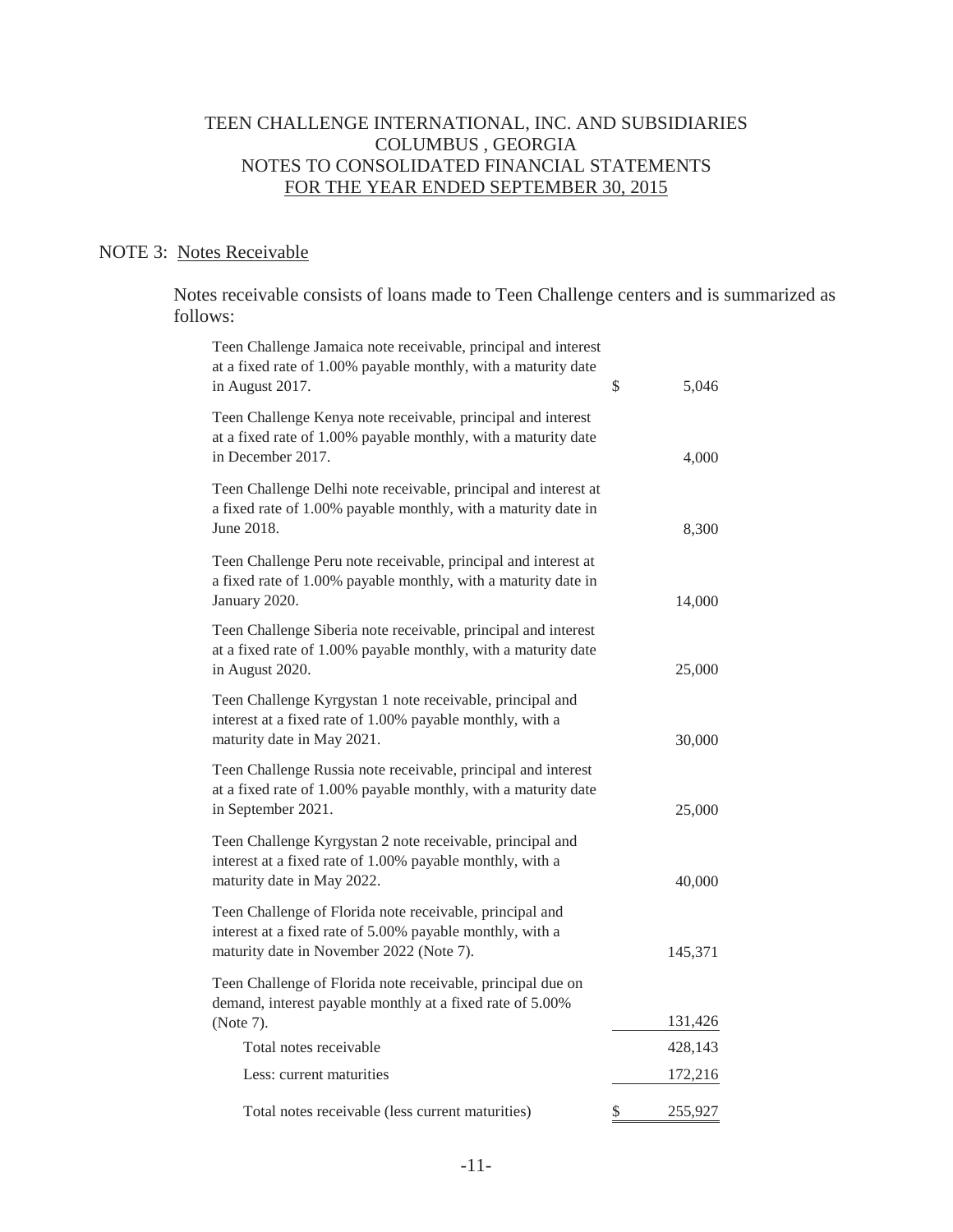### NOTE 3: Notes Receivable

 Notes receivable consists of loans made to Teen Challenge centers and is summarized as follows:

| Teen Challenge Jamaica note receivable, principal and interest<br>at a fixed rate of 1.00% payable monthly, with a maturity date<br>in August 2017.               | \$<br>5,046   |
|-------------------------------------------------------------------------------------------------------------------------------------------------------------------|---------------|
| Teen Challenge Kenya note receivable, principal and interest<br>at a fixed rate of 1.00% payable monthly, with a maturity date<br>in December 2017.               | 4,000         |
| Teen Challenge Delhi note receivable, principal and interest at<br>a fixed rate of 1.00% payable monthly, with a maturity date in<br>June 2018.                   | 8,300         |
| Teen Challenge Peru note receivable, principal and interest at<br>a fixed rate of 1.00% payable monthly, with a maturity date in<br>January 2020.                 | 14,000        |
| Teen Challenge Siberia note receivable, principal and interest<br>at a fixed rate of 1.00% payable monthly, with a maturity date<br>in August 2020.               | 25,000        |
| Teen Challenge Kyrgystan 1 note receivable, principal and<br>interest at a fixed rate of 1.00% payable monthly, with a<br>maturity date in May 2021.              | 30,000        |
| Teen Challenge Russia note receivable, principal and interest<br>at a fixed rate of 1.00% payable monthly, with a maturity date<br>in September 2021.             | 25,000        |
| Teen Challenge Kyrgystan 2 note receivable, principal and<br>interest at a fixed rate of 1.00% payable monthly, with a<br>maturity date in May 2022.              | 40,000        |
| Teen Challenge of Florida note receivable, principal and<br>interest at a fixed rate of 5.00% payable monthly, with a<br>maturity date in November 2022 (Note 7). | 145,371       |
| Teen Challenge of Florida note receivable, principal due on<br>demand, interest payable monthly at a fixed rate of 5.00%                                          | 131,426       |
| (Note 7).<br>Total notes receivable                                                                                                                               |               |
|                                                                                                                                                                   | 428,143       |
| Less: current maturities                                                                                                                                          | 172,216       |
| Total notes receivable (less current maturities)                                                                                                                  | \$<br>255,927 |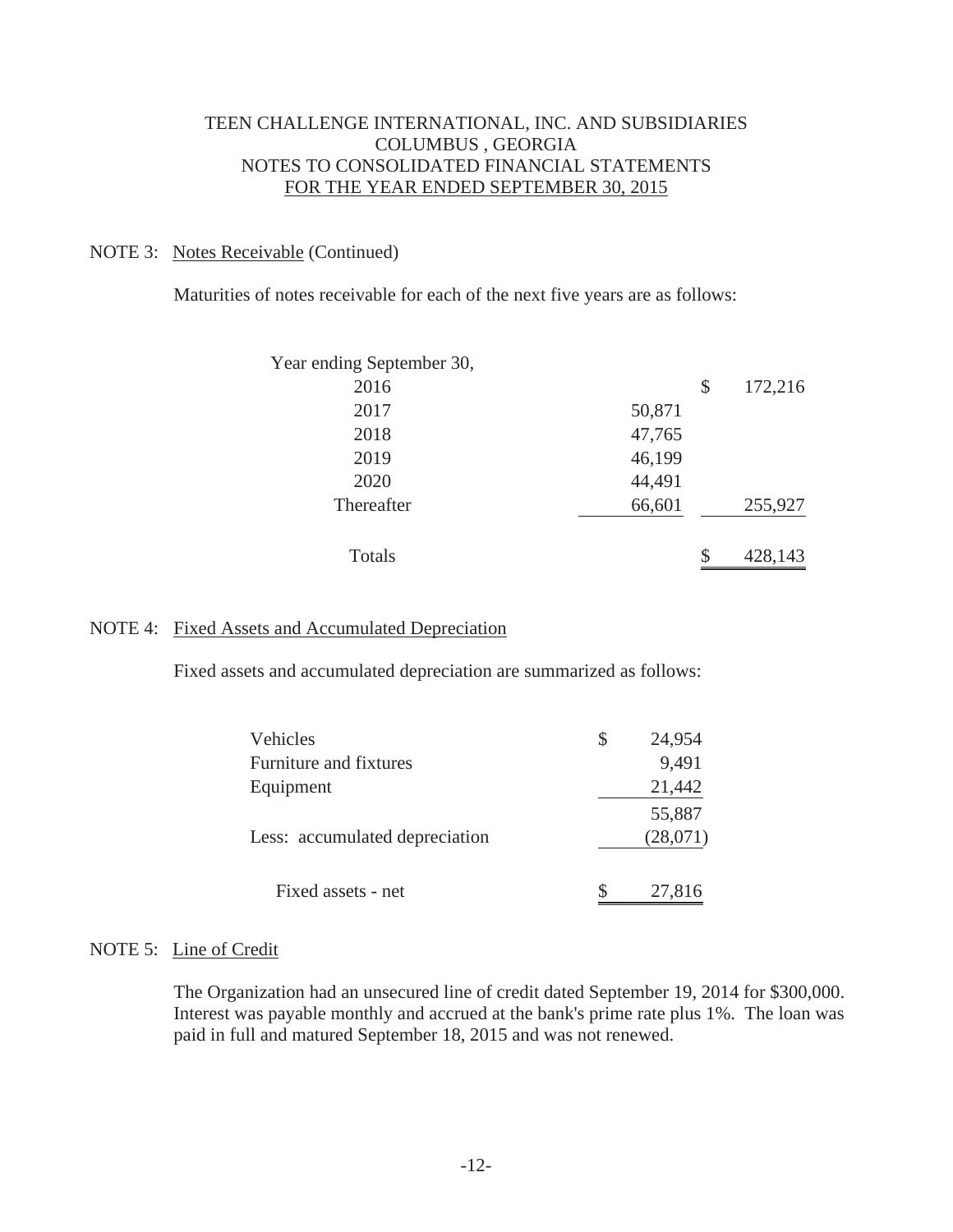#### NOTE 3: Notes Receivable (Continued)

Maturities of notes receivable for each of the next five years are as follows:

| Year ending September 30, |        |               |
|---------------------------|--------|---------------|
| 2016                      |        | \$<br>172,216 |
| 2017                      | 50,871 |               |
| 2018                      | 47,765 |               |
| 2019                      | 46,199 |               |
| 2020                      | 44,491 |               |
| Thereafter                | 66,601 | 255,927       |
| Totals                    |        | \$<br>428,143 |

#### NOTE 4: Fixed Assets and Accumulated Depreciation

Fixed assets and accumulated depreciation are summarized as follows:

| Vehicles                       | 24,954             |
|--------------------------------|--------------------|
| Furniture and fixtures         | 9,491              |
| Equipment                      | 21,442             |
| Less: accumulated depreciation | 55,887<br>(28,071) |
| Fixed assets - net             | 27,816             |

#### NOTE 5: Line of Credit

 The Organization had an unsecured line of credit dated September 19, 2014 for \$300,000. Interest was payable monthly and accrued at the bank's prime rate plus 1%. The loan was paid in full and matured September 18, 2015 and was not renewed.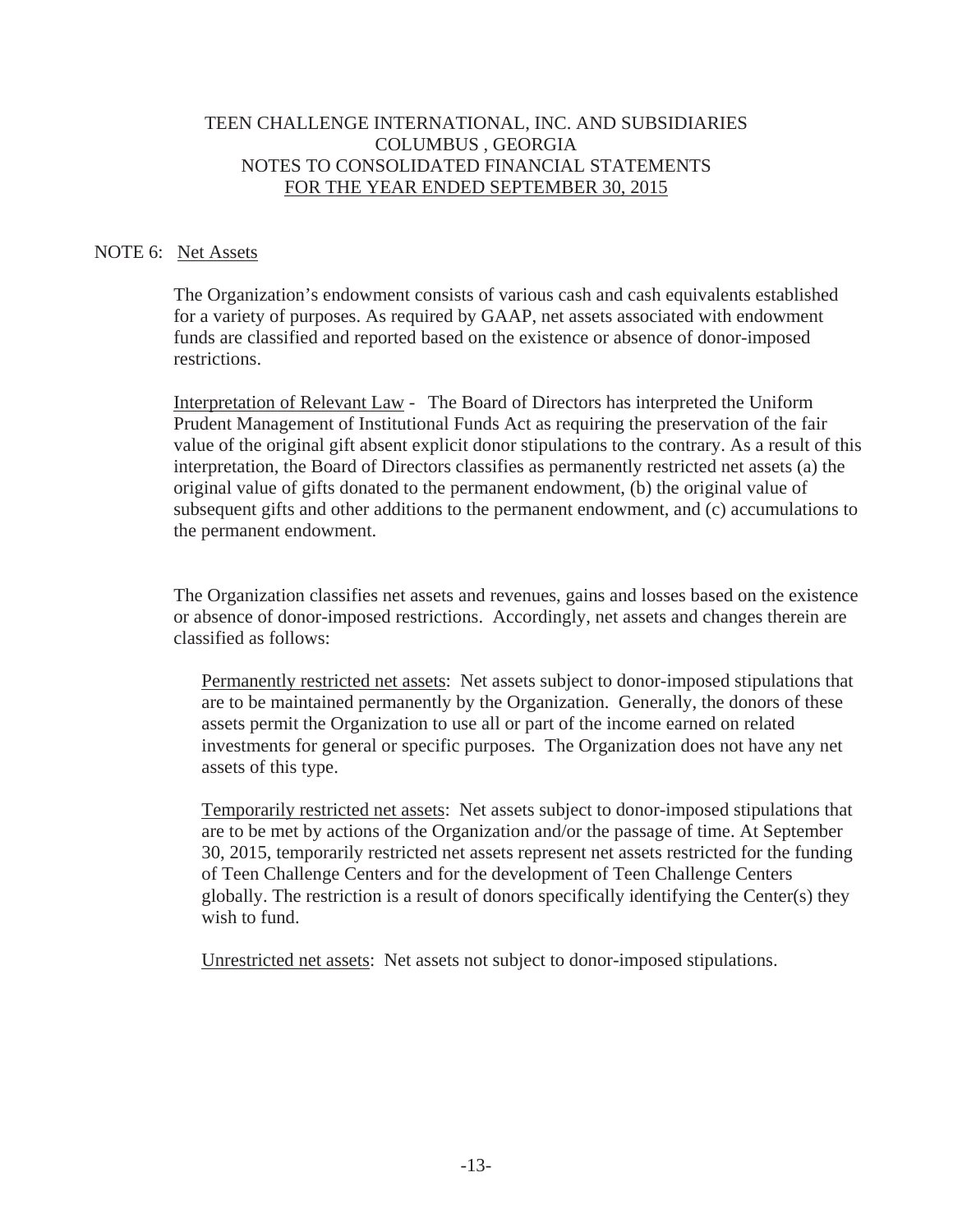#### NOTE 6: Net Assets

 The Organization's endowment consists of various cash and cash equivalents established for a variety of purposes. As required by GAAP, net assets associated with endowment funds are classified and reported based on the existence or absence of donor-imposed restrictions.

 Interpretation of Relevant Law - The Board of Directors has interpreted the Uniform Prudent Management of Institutional Funds Act as requiring the preservation of the fair value of the original gift absent explicit donor stipulations to the contrary. As a result of this interpretation, the Board of Directors classifies as permanently restricted net assets (a) the original value of gifts donated to the permanent endowment, (b) the original value of subsequent gifts and other additions to the permanent endowment, and (c) accumulations to the permanent endowment.

The Organization classifies net assets and revenues, gains and losses based on the existence or absence of donor-imposed restrictions. Accordingly, net assets and changes therein are classified as follows:

Permanently restricted net assets: Net assets subject to donor-imposed stipulations that are to be maintained permanently by the Organization. Generally, the donors of these assets permit the Organization to use all or part of the income earned on related investments for general or specific purposes. The Organization does not have any net assets of this type.

Temporarily restricted net assets: Net assets subject to donor-imposed stipulations that are to be met by actions of the Organization and/or the passage of time. At September 30, 2015, temporarily restricted net assets represent net assets restricted for the funding of Teen Challenge Centers and for the development of Teen Challenge Centers globally. The restriction is a result of donors specifically identifying the Center(s) they wish to fund.

Unrestricted net assets: Net assets not subject to donor-imposed stipulations.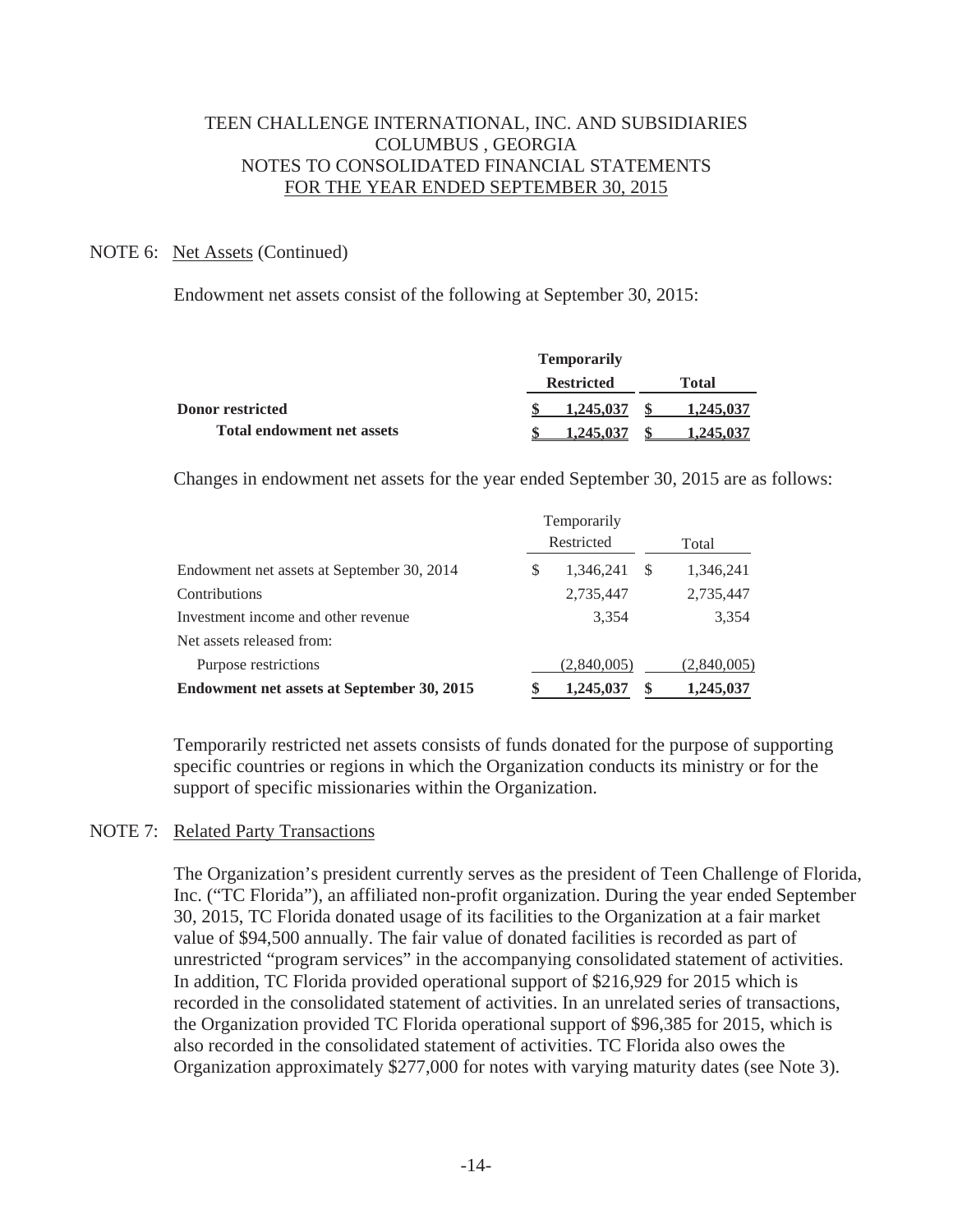#### NOTE 6: Net Assets (Continued)

Endowment net assets consist of the following at September 30, 2015:

|                                   | <b>Temporarily</b> |              |
|-----------------------------------|--------------------|--------------|
|                                   | <b>Restricted</b>  | <b>Total</b> |
| <b>Donor restricted</b>           | 1,245,037          | 1,245,037    |
| <b>Total endowment net assets</b> | 1.245.037          |              |

Changes in endowment net assets for the year ended September 30, 2015 are as follows:

|                                            | Temporarily     |             |
|--------------------------------------------|-----------------|-------------|
|                                            | Restricted      | Total       |
| Endowment net assets at September 30, 2014 | \$<br>1,346,241 | 1,346,241   |
| Contributions                              | 2,735,447       | 2,735,447   |
| Investment income and other revenue        | 3,354           | 3,354       |
| Net assets released from:                  |                 |             |
| Purpose restrictions                       | (2,840,005)     | (2,840,005) |
| Endowment net assets at September 30, 2015 | 1,245,037       | 1,245,037   |

 Temporarily restricted net assets consists of funds donated for the purpose of supporting specific countries or regions in which the Organization conducts its ministry or for the support of specific missionaries within the Organization.

#### NOTE 7: Related Party Transactions

 The Organization's president currently serves as the president of Teen Challenge of Florida, Inc. ("TC Florida"), an affiliated non-profit organization. During the year ended September 30, 2015, TC Florida donated usage of its facilities to the Organization at a fair market value of \$94,500 annually. The fair value of donated facilities is recorded as part of unrestricted "program services" in the accompanying consolidated statement of activities. In addition, TC Florida provided operational support of \$216,929 for 2015 which is recorded in the consolidated statement of activities. In an unrelated series of transactions, the Organization provided TC Florida operational support of \$96,385 for 2015, which is also recorded in the consolidated statement of activities. TC Florida also owes the Organization approximately \$277,000 for notes with varying maturity dates (see Note 3).